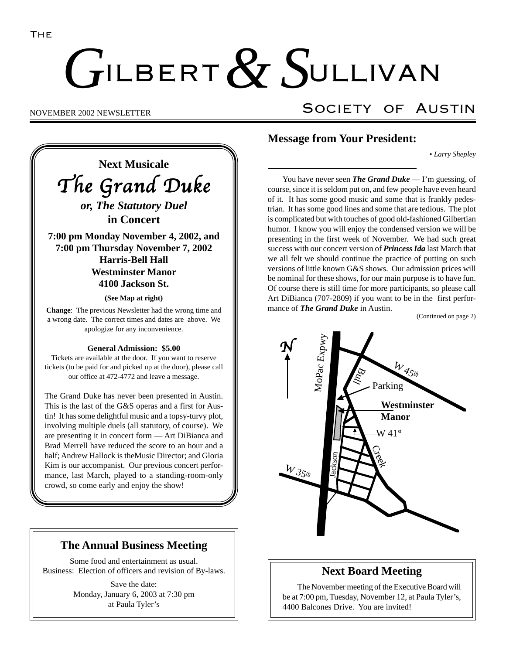# ILBERT  $\alpha$  SULLIVAN  $G$ ILBERT  $& S$

## NOVEMBER 2002 NEWSLETTER SOCIETY OF AUSTIN

The Grand Duke *or, The Statutory Duel* **in Concert 7:00 pm Monday November 4, 2002, and 7:00 pm Thursday November 7, 2002 Harris-Bell Hall Westminster Manor**

**Next Musicale**

**4100 Jackson St.**

**(See Map at right)**

**Change**: The previous Newsletter had the wrong time and a wrong date. The correct times and dates are above. We apologize for any inconvenience.

#### **General Admission: \$5.00**

Tickets are available at the door. If you want to reserve tickets (to be paid for and picked up at the door), please call our office at 472-4772 and leave a message.

The Grand Duke has never been presented in Austin. This is the last of the G&S operas and a first for Austin! It has some delightful music and a topsy-turvy plot, involving multiple duels (all statutory, of course). We are presenting it in concert form — Art DiBianca and Brad Merrell have reduced the score to an hour and a half; Andrew Hallock is theMusic Director; and Gloria Kim is our accompanist. Our previous concert performance, last March, played to a standing-room-only crowd, so come early and enjoy the show!

## **The Annual Business Meeting**

Some food and entertainment as usual. Business: Election of officers and revision of By-laws.

> Save the date: Monday, January 6, 2003 at 7:30 pm at Paula Tyler's

## **Message from Your President:**

*• Larry Shepley*

You have never seen *The Grand Duke* — I'm guessing, of course, since it is seldom put on, and few people have even heard of it. It has some good music and some that is frankly pedestrian. It has some good lines and some that are tedious. The plot is complicated but with touches of good old-fashioned Gilbertian humor. I know you will enjoy the condensed version we will be presenting in the first week of November. We had such great success with our concert version of *Princess Ida* last March that we all felt we should continue the practice of putting on such versions of little known G&S shows. Our admission prices will be nominal for these shows, for our main purpose is to have fun. Of course there is still time for more participants, so please call Art DiBianca (707-2809) if you want to be in the first performance of *The Grand Duke* in Austin.

(Continued on page 2)



## **Next Board Meeting**

The November meeting of the Executive Board will be at 7:00 pm, Tuesday, November 12, at Paula Tyler's, 4400 Balcones Drive. You are invited!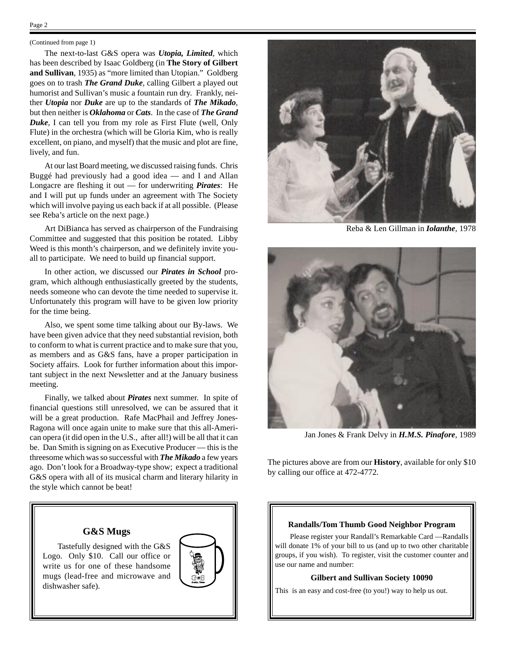## Page 2

#### (Continued from page 1)

The next-to-last G&S opera was *Utopia, Limited*, which has been described by Isaac Goldberg (in **The Story of Gilbert and Sullivan**, 1935) as "more limited than Utopian." Goldberg goes on to trash *The Grand Duke*, calling Gilbert a played out humorist and Sullivan's music a fountain run dry. Frankly, neither *Utopia* nor *Duke* are up to the standards of *The Mikado*, but then neither is *Oklahoma* or *Cats*. In the case of *The Grand Duke*, I can tell you from my role as First Flute (well, Only Flute) in the orchestra (which will be Gloria Kim, who is really excellent, on piano, and myself) that the music and plot are fine, lively, and fun.

At our last Board meeting, we discussed raising funds. Chris Buggé had previously had a good idea — and I and Allan Longacre are fleshing it out — for underwriting *Pirates*: He and I will put up funds under an agreement with The Society which will involve paying us each back if at all possible. (Please see Reba's article on the next page.)

Art DiBianca has served as chairperson of the Fundraising Committee and suggested that this position be rotated. Libby Weed is this month's chairperson, and we definitely invite youall to participate. We need to build up financial support.

In other action, we discussed our *Pirates in School* program, which although enthusiastically greeted by the students, needs someone who can devote the time needed to supervise it. Unfortunately this program will have to be given low priority for the time being.

Also, we spent some time talking about our By-laws. We have been given advice that they need substantial revision, both to conform to what is current practice and to make sure that you, as members and as G&S fans, have a proper participation in Society affairs. Look for further information about this important subject in the next Newsletter and at the January business meeting.

Finally, we talked about *Pirates* next summer. In spite of financial questions still unresolved, we can be assured that it will be a great production. Rafe MacPhail and Jeffrey Jones-Ragona will once again unite to make sure that this all-American opera (it did open in the U.S., after all!) will be all that it can be. Dan Smith is signing on as Executive Producer — this is the threesome which was so successful with *The Mikado* a few years ago. Don't look for a Broadway-type show; expect a traditional G&S opera with all of its musical charm and literary hilarity in the style which cannot be beat!

### **G&S Mugs**

Tastefully designed with the G&S Logo. Only \$10. Call our office or write us for one of these handsome mugs (lead-free and microwave and dishwasher safe).





Reba & Len Gillman in *Iolanthe*, 1978



Jan Jones & Frank Delvy in *H.M.S. Pinafore*, 1989

The pictures above are from our **History**, available for only \$10 by calling our office at 472-4772.

#### **Randalls/Tom Thumb Good Neighbor Program**

Please register your Randall's Remarkable Card —Randalls will donate 1% of your bill to us (and up to two other charitable groups, if you wish). To register, visit the customer counter and use our name and number:

#### **Gilbert and Sullivan Society 10090**

This is an easy and cost-free (to you!) way to help us out.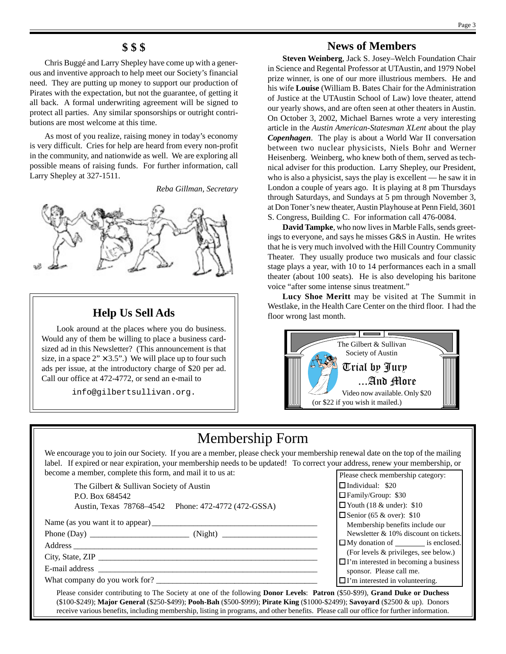## **\$ \$ \$**

Chris Buggé and Larry Shepley have come up with a generous and inventive approach to help meet our Society's financial need. They are putting up money to support our production of Pirates with the expectation, but not the guarantee, of getting it all back. A formal underwriting agreement will be signed to protect all parties. Any similar sponsorships or outright contributions are most welcome at this time.

As most of you realize, raising money in today's economy is very difficult. Cries for help are heard from every non-profit in the community, and nationwide as well. We are exploring all possible means of raising funds. For further information, call Larry Shepley at 327-1511.

*Reba Gillman, Secretary*



## **Help Us Sell Ads**

Look around at the places where you do business. Would any of them be willing to place a business cardsized ad in this Newsletter? (This announcement is that size, in a space  $2" \times 3.5"$ .) We will place up to four such ads per issue, at the introductory charge of \$20 per ad. Call our office at 472-4772, or send an e-mail to

info@gilbertsullivan.org.

## **News of Members**

**Steven Weinberg**, Jack S. Josey–Welch Foundation Chair in Science and Regental Professor at UTAustin, and 1979 Nobel prize winner, is one of our more illustrious members. He and his wife **Louise** (William B. Bates Chair for the Administration of Justice at the UTAustin School of Law) love theater, attend our yearly shows, and are often seen at other theaters in Austin. On October 3, 2002, Michael Barnes wrote a very interesting article in the *Austin American-Statesman XLent* about the play *Copenhagen*. The play is about a World War II conversation between two nuclear physicists, Niels Bohr and Werner Heisenberg. Weinberg, who knew both of them, served as technical adviser for this production. Larry Shepley, our President, who is also a physicist, says the play is excellent — he saw it in London a couple of years ago. It is playing at 8 pm Thursdays through Saturdays, and Sundays at 5 pm through November 3, at Don Toner's new theater, Austin Playhouse at Penn Field, 3601 S. Congress, Building C. For information call 476-0084.

**David Tampke**, who now lives in Marble Falls, sends greetings to everyone, and says he misses G&S in Austin. He writes that he is very much involved with the Hill Country Community Theater. They usually produce two musicals and four classic stage plays a year, with 10 to 14 performances each in a small theater (about 100 seats). He is also developing his baritone voice "after some intense sinus treatment."

**Lucy Shoe Meritt** may be visited at The Summit in Westlake, in the Health Care Center on the third floor. I had the floor wrong last month.



## Membership Form

We encourage you to join our Society. If you are a member, please check your membership renewal date on the top of the mailing label. If expired or near expiration, your membership needs to be updated! To correct your address, renew your membership, or become a member, complete this form, and mail it to us at:

The Gilbert & Sullivan Society of Austin P.O. Box 684542 Austin, Texas 78768–4542 Phone: 472-4772 (472-GSSA)

Name (as you want it to appear) \_\_\_\_\_\_\_\_\_\_\_\_\_\_\_\_\_\_\_\_\_\_\_\_\_\_\_\_\_\_\_\_\_\_\_\_\_\_\_\_ Phone (Day) \_\_\_\_\_\_\_\_\_\_\_\_\_\_\_\_\_\_\_\_\_\_\_\_ (Night) \_\_\_\_\_\_\_\_\_\_\_\_\_\_\_\_\_\_\_\_\_\_\_

Address \_\_\_\_\_\_\_\_\_\_\_\_\_\_\_\_\_\_\_\_\_\_\_\_\_\_\_\_\_\_\_\_\_\_\_\_\_\_\_\_\_\_\_\_\_\_\_\_\_\_\_\_\_\_\_\_\_\_\_

City, State, ZIP \_\_\_\_\_\_\_\_\_\_\_\_\_\_\_\_\_\_\_\_\_\_\_\_\_\_\_\_\_\_\_\_\_\_\_\_\_\_\_\_\_\_\_\_\_\_\_\_\_\_\_\_\_

E-mail address \_\_\_\_\_\_\_\_\_\_\_\_\_\_\_\_\_\_\_\_\_\_\_\_\_\_\_\_\_\_\_\_\_\_\_\_\_\_\_\_\_\_\_\_\_\_\_\_\_\_\_\_\_

What company do you work for?

| agaicss, ichew your membership, or             |  |  |
|------------------------------------------------|--|--|
| Please check membership category:              |  |  |
| Individual: \$20                               |  |  |
| □ Family/Group: \$30                           |  |  |
| $\Box$ Youth (18 & under): \$10                |  |  |
| $\Box$ Senior (65 & over): \$10                |  |  |
| Membership benefits include our                |  |  |
| Newsletter & 10% discount on tickets.          |  |  |
| $\Box$ My donation of $\_\_\_\_\$ is enclosed. |  |  |
| (For levels & privileges, see below.)          |  |  |
| $\Box$ I'm interested in becoming a business   |  |  |
| sponsor. Please call me.                       |  |  |
| $\Box$ I'm interested in volunteering.         |  |  |
|                                                |  |  |

Please consider contributing to The Society at one of the following **Donor Levels**: **Patron** (\$50-\$99), **Grand Duke or Duchess** (\$100-\$249); **Major General** (\$250-\$499); **Pooh-Bah** (\$500-\$999); **Pirate King** (\$1000-\$2499); **Savoyard** (\$2500 & up). Donors receive various benefits, including membership, listing in programs, and other benefits. Please call our office for further information.